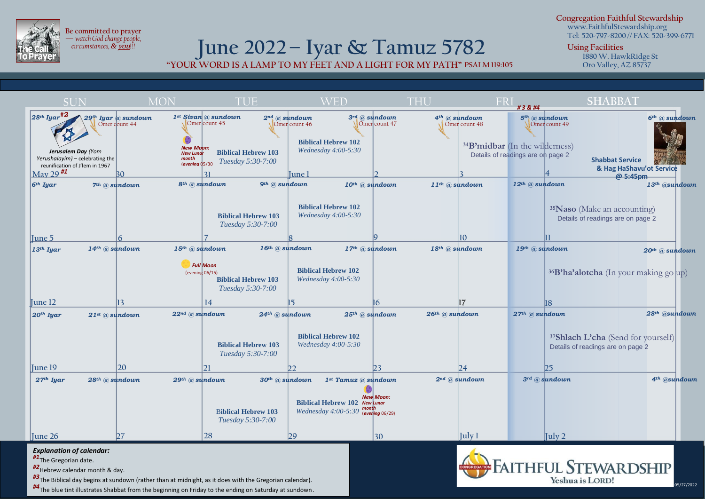

**Be committed to prayer —** *watch God change people, circumstances, &* **you***!!!*

## **June 2022– Iyar & Tamuz 5782 "YOUR WORD IS A LAMP TO MY FEET AND A LIGHT FOR MY PATH" PSALM 119:105**

**Congregation Faithful Stewardship www.FaithfulStewardship.org Tel: 520-797-8200 // FAX: 520-399-6771**

**Using Facilities**

**1880 W. HawkRidge St Oro Valley, AZ 85737**

**8 6 2 3 20** SUN MON TUE WED THU FRI **SHABBAT** *<sup>28</sup>th Iyar#2*  $\frac{1}{2}$  May 29<sup>#1</sup> 30 **June 5 9 10 June 19 24 13 31 June 12 16 17**  $\bullet$ *New Moon: New Lunar month*  (*evening* 05/30 **July 2 23 25 4 18 July 1 June 1 7 8 14 15 21 22 28 29** *29th Iyar @ sundown* Omer count 44 *1st Sivan @ sundown* Omer count 45 *2nd @ sundown* Omer count 46 *4th @ sundown* Omer count 48 *3rd @ sundown* Omer count 47 *5th @ sundown* Omer count 49 *6th @ sundown 6th Iyar 7th @ sundown 8th @ sundown* Q *Tuesday 5:30-7:00 9th @ sundown 10th @ sundown 12th @ sundown 13th @sundown 11th @ sundown 14th @ sundown 15th @ sundown* Q  *16th @ sundown 17th @ sundown 18th @ sundown 19th @ sundown 20th @ sundown 13th Iyar 27th Iyar 20th Iyar 26th @ sundown 21st @ sundown 25th @ sundown 24th @ sundown 22nd @ sundown* Q *29th @ sundown* Q *30th @ sundown 1st Tamuz @ sundown 2nd @ sundown* 0 *28th @ sundown 3rd @ sundown 28th @sundown 27th @ sundown 4th @sundown # 3 & #4* **<sup>35</sup>Naso** (Make an accounting) Details of readings are on page 2 *Full Moon* (evening 06/15) **<sup>37</sup>Shlach L'cha** (Send for yourself) Details of readings are on page 2 **11 <sup>34</sup>B'midbar** (In the wilderness) Details of readings are on page 2 **June 26 27** *New Moon: New Lunar*  **Biblical Hebrew 102** *month*  (*evening* 06/29) *Wednesday 4:00-5:30*  **<sup>36</sup>B'ha'alotcha** (In your making go up)  $B$  are on parameters are on parameters are on  $\mathbb{R}^2$ **Biblical Hebrew 103** *Tuesday 5:30-7:00* **Biblical Hebrew 102** *Wednesday 4:00-5:30* **Biblical Hebrew 103** *Tuesday 5:30-7:00* **Biblical Hebrew 102** *Wednesday 4:00-5:30* **Biblical Hebrew 103** *Tuesday 5:30-7:00* **Biblical Hebrew 102** *Wednesday 4:00-5:30* **Biblical Hebrew 103 Biblical Hebrew 102** *Wednesday 4:00-5:30* B**iblical Hebrew 103** *Tuesday 5:30-7:00 Jerusalem Day (Yom Yerushalayim) –* celebrating the reunification of J'lem in 1967 **Shabbat Service & Hag HaShavu'ot Service @ 5:45pm 30**

*Explanation of calendar:*

*#1*The Gregorian date.

*#2*Hebrew calendar month & day.

*#3*The Biblical day begins at sundown (rather than at midnight, as it does with the Gregorian calendar).

*#4*The blue tint illustrates Shabbat from the beginning on Friday to the ending on Saturday at sundown.